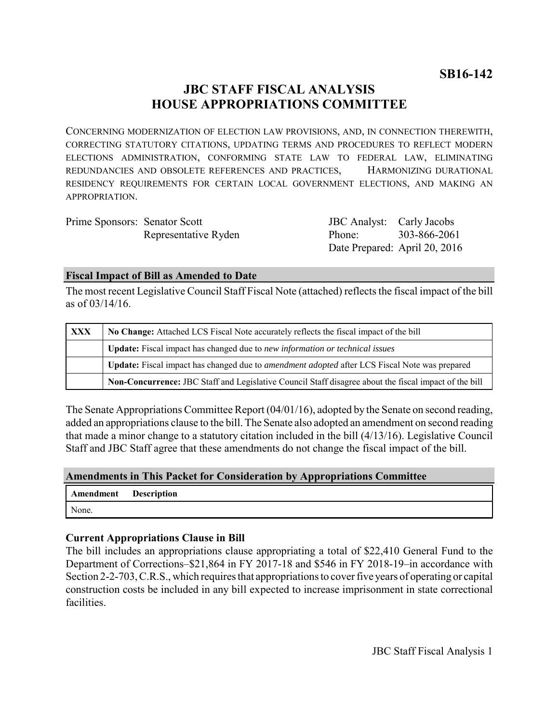# **JBC STAFF FISCAL ANALYSIS HOUSE APPROPRIATIONS COMMITTEE**

CONCERNING MODERNIZATION OF ELECTION LAW PROVISIONS, AND, IN CONNECTION THEREWITH, CORRECTING STATUTORY CITATIONS, UPDATING TERMS AND PROCEDURES TO REFLECT MODERN ELECTIONS ADMINISTRATION, CONFORMING STATE LAW TO FEDERAL LAW, ELIMINATING REDUNDANCIES AND OBSOLETE REFERENCES AND PRACTICES, HARMONIZING DURATIONAL RESIDENCY REQUIREMENTS FOR CERTAIN LOCAL GOVERNMENT ELECTIONS, AND MAKING AN APPROPRIATION.

Prime Sponsors: Senator Scott Representative Ryden

JBC Analyst: Carly Jacobs Phone: Date Prepared: April 20, 2016 303-866-2061

### **Fiscal Impact of Bill as Amended to Date**

The most recent Legislative Council Staff Fiscal Note (attached) reflects the fiscal impact of the bill as of 03/14/16.

| <b>XXX</b> | No Change: Attached LCS Fiscal Note accurately reflects the fiscal impact of the bill                       |
|------------|-------------------------------------------------------------------------------------------------------------|
|            | <b>Update:</b> Fiscal impact has changed due to new information or technical issues                         |
|            | <b>Update:</b> Fiscal impact has changed due to <i>amendment adopted</i> after LCS Fiscal Note was prepared |
|            | Non-Concurrence: JBC Staff and Legislative Council Staff disagree about the fiscal impact of the bill       |

The Senate Appropriations Committee Report (04/01/16), adopted by the Senate on second reading, added an appropriations clause to the bill. The Senate also adopted an amendment on second reading that made a minor change to a statutory citation included in the bill (4/13/16). Legislative Council Staff and JBC Staff agree that these amendments do not change the fiscal impact of the bill.

#### **Amendments in This Packet for Consideration by Appropriations Committee**

| Amendment Description |  |
|-----------------------|--|
| None.                 |  |

### **Current Appropriations Clause in Bill**

The bill includes an appropriations clause appropriating a total of \$22,410 General Fund to the Department of Corrections–\$21,864 in FY 2017-18 and \$546 in FY 2018-19–in accordance with Section 2-2-703, C.R.S., which requires that appropriations to cover five years of operating or capital construction costs be included in any bill expected to increase imprisonment in state correctional facilities.